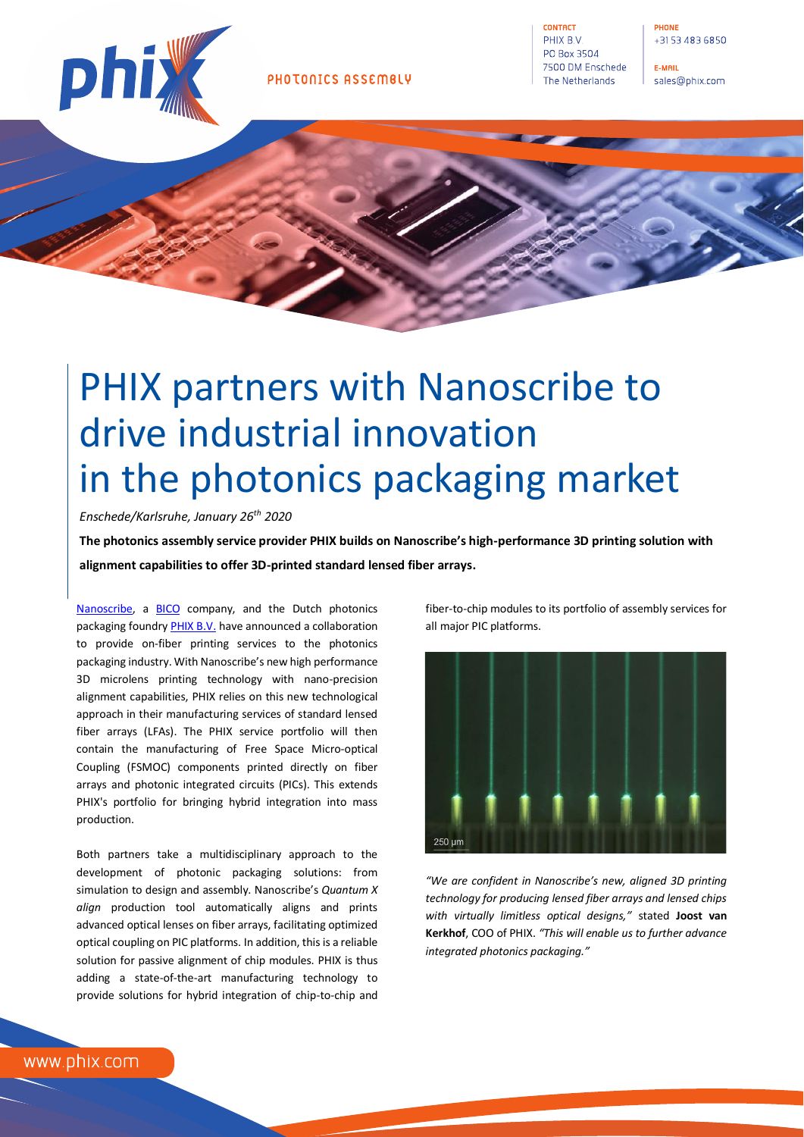

CONTACT PHIX B.V. PO Box 3504 7500 DM Enschede The Netherlands

E-MAIL sales@phix.com

# PHIX partners with Nanoscribe to drive industrial innovation in the photonics packaging market

# *Enschede/Karlsruhe, January 26th 2020*

**The photonics assembly service provider PHIX builds on Nanoscribe's high-performance 3D printing solution with alignment capabilities to offer 3D-printed standard lensed fiber arrays.**

[Nanoscribe,](https://www.nanoscribe.com/) a [BICO](https://bico.com/) company, and the Dutch photonics packaging foundr[y PHIX B.V.](https://www.phix.com/) have announced a collaboration to provide on-fiber printing services to the photonics packaging industry. With Nanoscribe's new high performance 3D microlens printing technology with nano-precision alignment capabilities, PHIX relies on this new technological approach in their manufacturing services of standard lensed fiber arrays (LFAs). The PHIX service portfolio will then contain the manufacturing of Free Space Micro-optical Coupling (FSMOC) components printed directly on fiber arrays and photonic integrated circuits (PICs). This extends PHIX's portfolio for bringing hybrid integration into mass production.

Both partners take a multidisciplinary approach to the development of photonic packaging solutions: from simulation to design and assembly. Nanoscribe's *Quantum X align* production tool automatically aligns and prints advanced optical lenses on fiber arrays, facilitating optimized optical coupling on PIC platforms. In addition, this is a reliable solution for passive alignment of chip modules. PHIX is thus adding a state-of-the-art manufacturing technology to provide solutions for hybrid integration of chip-to-chip and fiber-to-chip modules to its portfolio of assembly services for all major PIC platforms.



*"We are confident in Nanoscribe's new, aligned 3D printing technology for producing lensed fiber arrays and lensed chips with virtually limitless optical designs,"* stated **Joost van Kerkhof**, COO of PHIX. *"This will enable us to further advance integrated photonics packaging."*

www.phix.com